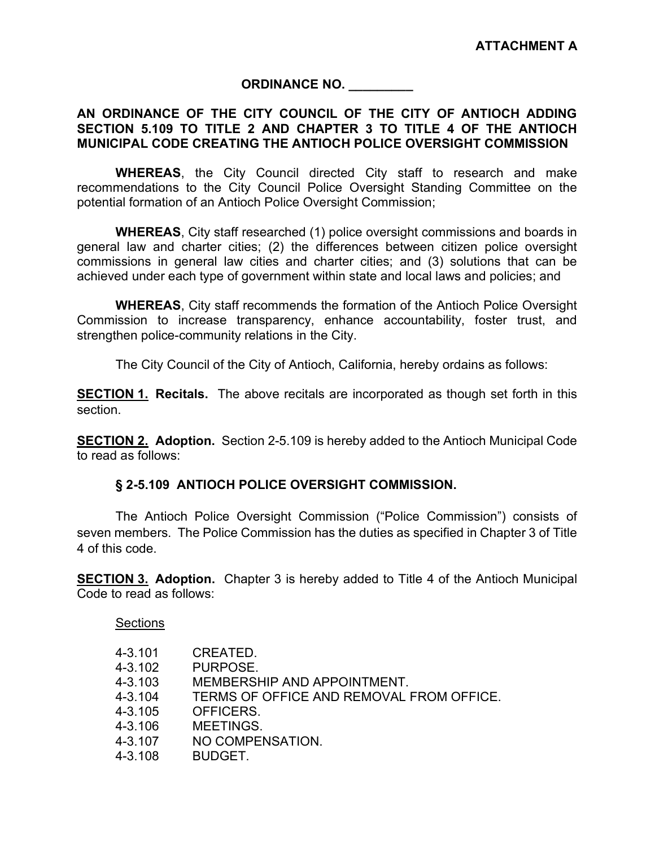### ORDINANCE NO. \_\_\_\_\_\_\_\_\_

### AN ORDINANCE OF THE CITY COUNCIL OF THE CITY OF ANTIOCH ADDING SECTION 5.109 TO TITLE 2 AND CHAPTER 3 TO TITLE 4 OF THE ANTIOCH MUNICIPAL CODE CREATING THE ANTIOCH POLICE OVERSIGHT COMMISSION

WHEREAS, the City Council directed City staff to research and make recommendations to the City Council Police Oversight Standing Committee on the potential formation of an Antioch Police Oversight Commission;

WHEREAS, City staff researched (1) police oversight commissions and boards in general law and charter cities; (2) the differences between citizen police oversight commissions in general law cities and charter cities; and (3) solutions that can be achieved under each type of government within state and local laws and policies; and

WHEREAS, City staff recommends the formation of the Antioch Police Oversight Commission to increase transparency, enhance accountability, foster trust, and strengthen police-community relations in the City.

The City Council of the City of Antioch, California, hereby ordains as follows:

**SECTION 1. Recitals.** The above recitals are incorporated as though set forth in this section.

SECTION 2. Adoption. Section 2-5.109 is hereby added to the Antioch Municipal Code to read as follows:

### § 2-5.109 ANTIOCH POLICE OVERSIGHT COMMISSION.

The Antioch Police Oversight Commission ("Police Commission") consists of seven members. The Police Commission has the duties as specified in Chapter 3 of Title 4 of this code.

**SECTION 3. Adoption.** Chapter 3 is hereby added to Title 4 of the Antioch Municipal Code to read as follows:

#### **Sections**

| 4-3.101 | CREATED.                                 |
|---------|------------------------------------------|
| 4-3.102 | PURPOSE.                                 |
| 4-3.103 | MEMBERSHIP AND APPOINTMENT.              |
| 4-3.104 | TERMS OF OFFICE AND REMOVAL FROM OFFICE. |
| 4-3.105 | OFFICERS.                                |
| 4-3.106 | MEETINGS.                                |
| 4-3.107 | NO COMPENSATION.                         |
| 4-3.108 | <b>BUDGET.</b>                           |
|         |                                          |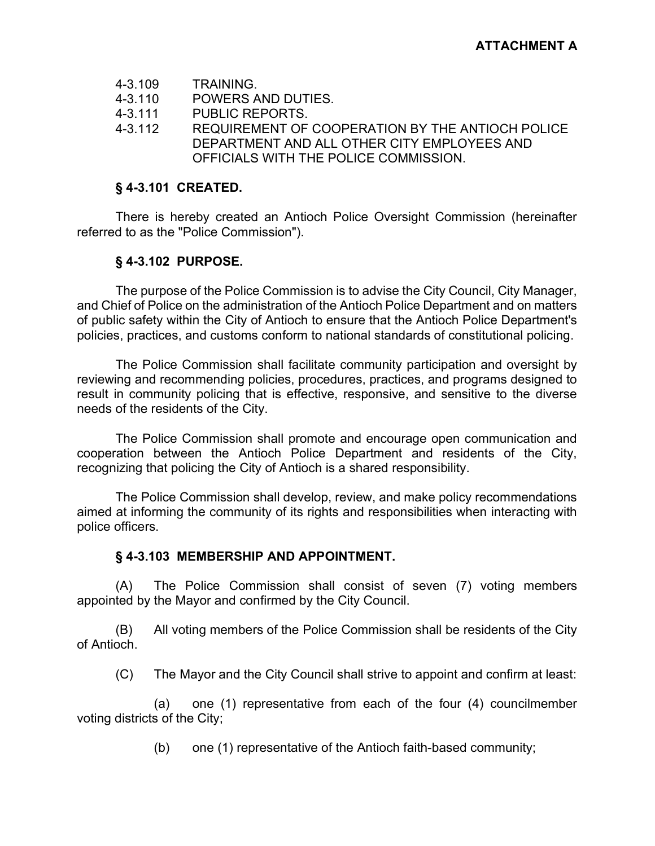- 4-3.109 TRAINING.<br>4-3.110 POWERS A
- POWERS AND DUTIES.
- 4-3.111 PUBLIC REPORTS.
- 4-3.112 REQUIREMENT OF COOPERATION BY THE ANTIOCH POLICE DEPARTMENT AND ALL OTHER CITY EMPLOYEES AND OFFICIALS WITH THE POLICE COMMISSION.

### § 4-3.101 CREATED.

 There is hereby created an Antioch Police Oversight Commission (hereinafter referred to as the "Police Commission").

# § 4-3.102 PURPOSE.

 The purpose of the Police Commission is to advise the City Council, City Manager, and Chief of Police on the administration of the Antioch Police Department and on matters of public safety within the City of Antioch to ensure that the Antioch Police Department's policies, practices, and customs conform to national standards of constitutional policing.

 The Police Commission shall facilitate community participation and oversight by reviewing and recommending policies, procedures, practices, and programs designed to result in community policing that is effective, responsive, and sensitive to the diverse needs of the residents of the City.

 The Police Commission shall promote and encourage open communication and cooperation between the Antioch Police Department and residents of the City, recognizing that policing the City of Antioch is a shared responsibility.

 The Police Commission shall develop, review, and make policy recommendations aimed at informing the community of its rights and responsibilities when interacting with police officers.

# § 4-3.103 MEMBERSHIP AND APPOINTMENT.

(A) The Police Commission shall consist of seven (7) voting members appointed by the Mayor and confirmed by the City Council.

(B) All voting members of the Police Commission shall be residents of the City of Antioch.

(C) The Mayor and the City Council shall strive to appoint and confirm at least:

(a) one (1) representative from each of the four (4) councilmember voting districts of the City;

(b) one (1) representative of the Antioch faith-based community;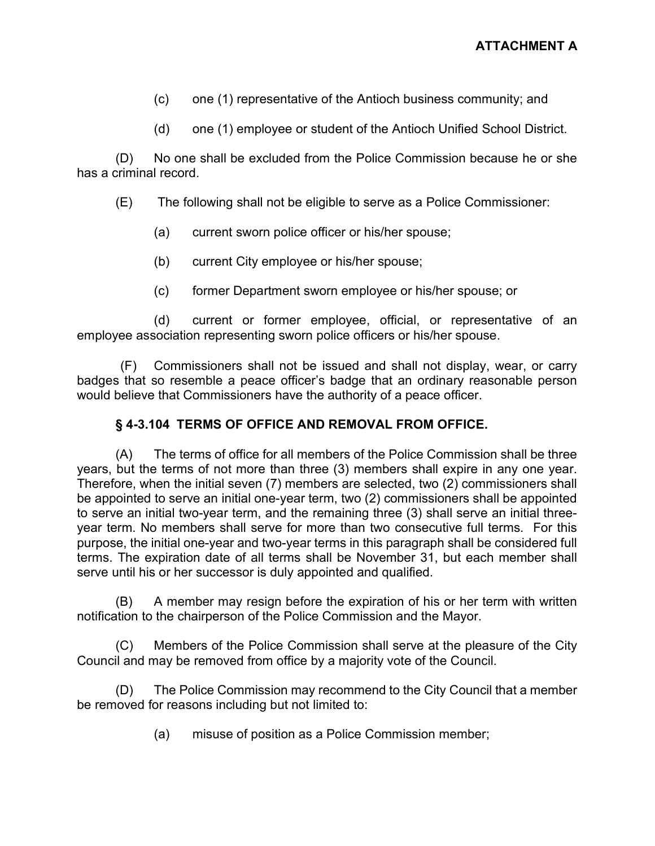- (c) one (1) representative of the Antioch business community; and
- (d) one (1) employee or student of the Antioch Unified School District.

(D) No one shall be excluded from the Police Commission because he or she has a criminal record.

(E) The following shall not be eligible to serve as a Police Commissioner:

- (a) current sworn police officer or his/her spouse;
- (b) current City employee or his/her spouse;
- (c) former Department sworn employee or his/her spouse; or

(d) current or former employee, official, or representative of an employee association representing sworn police officers or his/her spouse.

(F) Commissioners shall not be issued and shall not display, wear, or carry badges that so resemble a peace officer's badge that an ordinary reasonable person would believe that Commissioners have the authority of a peace officer.

### § 4-3.104 TERMS OF OFFICE AND REMOVAL FROM OFFICE.

(A) The terms of office for all members of the Police Commission shall be three years, but the terms of not more than three (3) members shall expire in any one year. Therefore, when the initial seven (7) members are selected, two (2) commissioners shall be appointed to serve an initial one-year term, two (2) commissioners shall be appointed to serve an initial two-year term, and the remaining three (3) shall serve an initial threeyear term. No members shall serve for more than two consecutive full terms. For this purpose, the initial one-year and two-year terms in this paragraph shall be considered full terms. The expiration date of all terms shall be November 31, but each member shall serve until his or her successor is duly appointed and qualified.

(B) A member may resign before the expiration of his or her term with written notification to the chairperson of the Police Commission and the Mayor.

(C) Members of the Police Commission shall serve at the pleasure of the City Council and may be removed from office by a majority vote of the Council.

(D) The Police Commission may recommend to the City Council that a member be removed for reasons including but not limited to:

(a) misuse of position as a Police Commission member;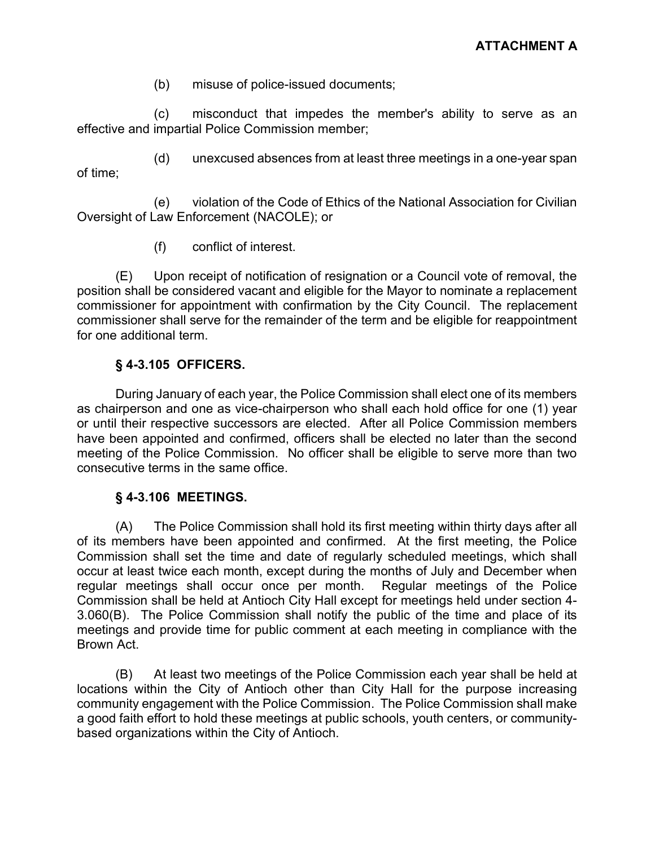(b) misuse of police-issued documents;

(c) misconduct that impedes the member's ability to serve as an effective and impartial Police Commission member;

(d) unexcused absences from at least three meetings in a one-year span of time;

(e) violation of the Code of Ethics of the National Association for Civilian Oversight of Law Enforcement (NACOLE); or

(f) conflict of interest.

(E) Upon receipt of notification of resignation or a Council vote of removal, the position shall be considered vacant and eligible for the Mayor to nominate a replacement commissioner for appointment with confirmation by the City Council. The replacement commissioner shall serve for the remainder of the term and be eligible for reappointment for one additional term.

# § 4-3.105 OFFICERS.

During January of each year, the Police Commission shall elect one of its members as chairperson and one as vice-chairperson who shall each hold office for one (1) year or until their respective successors are elected. After all Police Commission members have been appointed and confirmed, officers shall be elected no later than the second meeting of the Police Commission. No officer shall be eligible to serve more than two consecutive terms in the same office.

# § 4-3.106 MEETINGS.

(A) The Police Commission shall hold its first meeting within thirty days after all of its members have been appointed and confirmed. At the first meeting, the Police Commission shall set the time and date of regularly scheduled meetings, which shall occur at least twice each month, except during the months of July and December when regular meetings shall occur once per month. Regular meetings of the Police Commission shall be held at Antioch City Hall except for meetings held under section 4- 3.060(B). The Police Commission shall notify the public of the time and place of its meetings and provide time for public comment at each meeting in compliance with the Brown Act.

(B) At least two meetings of the Police Commission each year shall be held at locations within the City of Antioch other than City Hall for the purpose increasing community engagement with the Police Commission. The Police Commission shall make a good faith effort to hold these meetings at public schools, youth centers, or communitybased organizations within the City of Antioch.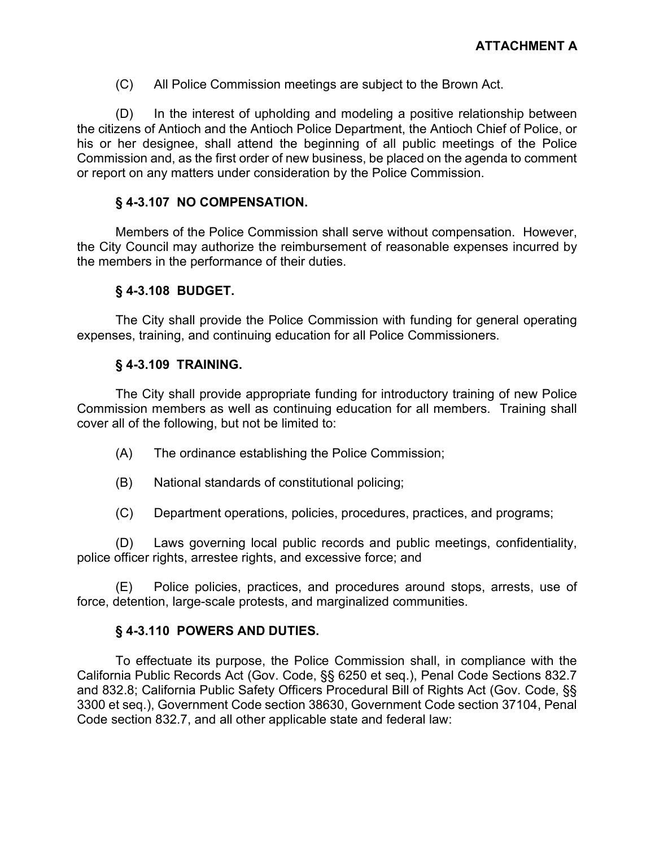(C) All Police Commission meetings are subject to the Brown Act.

(D) In the interest of upholding and modeling a positive relationship between the citizens of Antioch and the Antioch Police Department, the Antioch Chief of Police, or his or her designee, shall attend the beginning of all public meetings of the Police Commission and, as the first order of new business, be placed on the agenda to comment or report on any matters under consideration by the Police Commission.

### § 4-3.107 NO COMPENSATION.

 Members of the Police Commission shall serve without compensation. However, the City Council may authorize the reimbursement of reasonable expenses incurred by the members in the performance of their duties.

### § 4-3.108 BUDGET.

 The City shall provide the Police Commission with funding for general operating expenses, training, and continuing education for all Police Commissioners.

### § 4-3.109 TRAINING.

 The City shall provide appropriate funding for introductory training of new Police Commission members as well as continuing education for all members. Training shall cover all of the following, but not be limited to:

- (A) The ordinance establishing the Police Commission;
- (B) National standards of constitutional policing;
- (C) Department operations, policies, procedures, practices, and programs;

(D) Laws governing local public records and public meetings, confidentiality, police officer rights, arrestee rights, and excessive force; and

(E) Police policies, practices, and procedures around stops, arrests, use of force, detention, large-scale protests, and marginalized communities.

# § 4-3.110 POWERS AND DUTIES.

 To effectuate its purpose, the Police Commission shall, in compliance with the California Public Records Act (Gov. Code, §§ 6250 et seq.), Penal Code Sections 832.7 and 832.8; California Public Safety Officers Procedural Bill of Rights Act (Gov. Code, §§ 3300 et seq.), Government Code section 38630, Government Code section 37104, Penal Code section 832.7, and all other applicable state and federal law: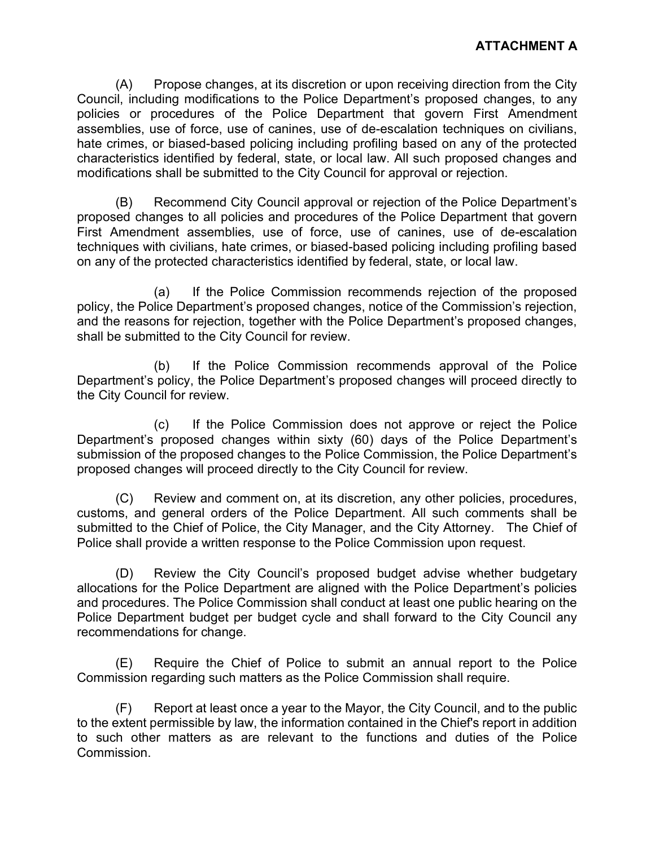(A) Propose changes, at its discretion or upon receiving direction from the City Council, including modifications to the Police Department's proposed changes, to any policies or procedures of the Police Department that govern First Amendment assemblies, use of force, use of canines, use of de-escalation techniques on civilians, hate crimes, or biased-based policing including profiling based on any of the protected characteristics identified by federal, state, or local law. All such proposed changes and modifications shall be submitted to the City Council for approval or rejection.

(B) Recommend City Council approval or rejection of the Police Department's proposed changes to all policies and procedures of the Police Department that govern First Amendment assemblies, use of force, use of canines, use of de-escalation techniques with civilians, hate crimes, or biased-based policing including profiling based on any of the protected characteristics identified by federal, state, or local law.

(a) If the Police Commission recommends rejection of the proposed policy, the Police Department's proposed changes, notice of the Commission's rejection, and the reasons for rejection, together with the Police Department's proposed changes, shall be submitted to the City Council for review.

(b) If the Police Commission recommends approval of the Police Department's policy, the Police Department's proposed changes will proceed directly to the City Council for review.

(c) If the Police Commission does not approve or reject the Police Department's proposed changes within sixty (60) days of the Police Department's submission of the proposed changes to the Police Commission, the Police Department's proposed changes will proceed directly to the City Council for review.

(C) Review and comment on, at its discretion, any other policies, procedures, customs, and general orders of the Police Department. All such comments shall be submitted to the Chief of Police, the City Manager, and the City Attorney. The Chief of Police shall provide a written response to the Police Commission upon request.

(D) Review the City Council's proposed budget advise whether budgetary allocations for the Police Department are aligned with the Police Department's policies and procedures. The Police Commission shall conduct at least one public hearing on the Police Department budget per budget cycle and shall forward to the City Council any recommendations for change.

(E) Require the Chief of Police to submit an annual report to the Police Commission regarding such matters as the Police Commission shall require.

(F) Report at least once a year to the Mayor, the City Council, and to the public to the extent permissible by law, the information contained in the Chief's report in addition to such other matters as are relevant to the functions and duties of the Police Commission.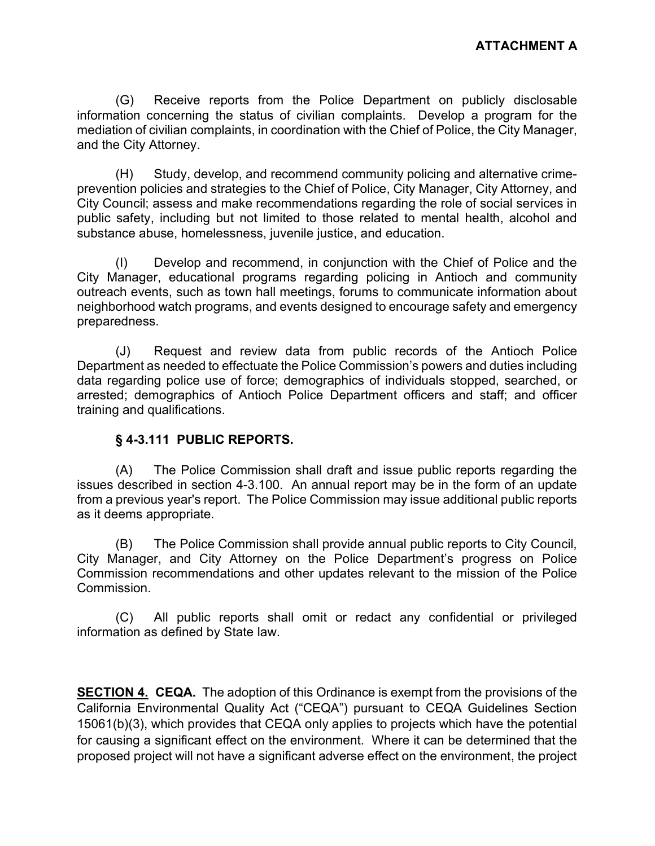(G) Receive reports from the Police Department on publicly disclosable information concerning the status of civilian complaints. Develop a program for the mediation of civilian complaints, in coordination with the Chief of Police, the City Manager, and the City Attorney.

(H) Study, develop, and recommend community policing and alternative crimeprevention policies and strategies to the Chief of Police, City Manager, City Attorney, and City Council; assess and make recommendations regarding the role of social services in public safety, including but not limited to those related to mental health, alcohol and substance abuse, homelessness, juvenile justice, and education.

(I) Develop and recommend, in conjunction with the Chief of Police and the City Manager, educational programs regarding policing in Antioch and community outreach events, such as town hall meetings, forums to communicate information about neighborhood watch programs, and events designed to encourage safety and emergency preparedness.

(J) Request and review data from public records of the Antioch Police Department as needed to effectuate the Police Commission's powers and duties including data regarding police use of force; demographics of individuals stopped, searched, or arrested; demographics of Antioch Police Department officers and staff; and officer training and qualifications.

# § 4-3.111 PUBLIC REPORTS.

(A) The Police Commission shall draft and issue public reports regarding the issues described in section 4-3.100. An annual report may be in the form of an update from a previous year's report. The Police Commission may issue additional public reports as it deems appropriate.

(B) The Police Commission shall provide annual public reports to City Council, City Manager, and City Attorney on the Police Department's progress on Police Commission recommendations and other updates relevant to the mission of the Police Commission.

(C) All public reports shall omit or redact any confidential or privileged information as defined by State law.

**SECTION 4. CEQA.** The adoption of this Ordinance is exempt from the provisions of the California Environmental Quality Act ("CEQA") pursuant to CEQA Guidelines Section 15061(b)(3), which provides that CEQA only applies to projects which have the potential for causing a significant effect on the environment. Where it can be determined that the proposed project will not have a significant adverse effect on the environment, the project